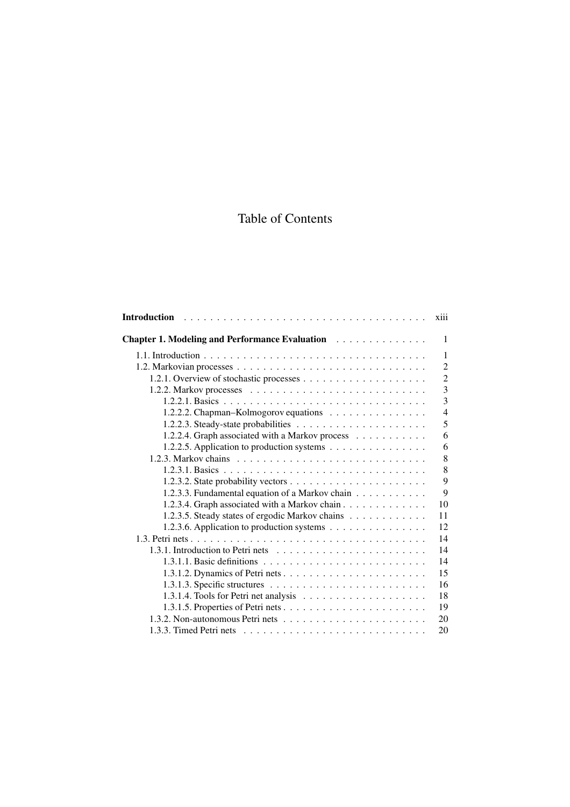## Table of Contents

|                                                 | xiii                    |
|-------------------------------------------------|-------------------------|
| Chapter 1. Modeling and Performance Evaluation  | 1                       |
|                                                 | 1                       |
|                                                 | $\overline{2}$          |
|                                                 | $\overline{2}$          |
|                                                 | $\overline{\mathbf{3}}$ |
|                                                 | $\overline{3}$          |
| 1.2.2.2. Chapman-Kolmogorov equations           | $\overline{4}$          |
|                                                 | 5                       |
| 1.2.2.4. Graph associated with a Markov process | 6                       |
| 1.2.2.5. Application to production systems      | 6                       |
|                                                 | 8                       |
|                                                 | 8                       |
|                                                 | 9                       |
| 1.2.3.3. Fundamental equation of a Markov chain | 9                       |
| 1.2.3.4. Graph associated with a Markov chain   | 10                      |
| 1.2.3.5. Steady states of ergodic Markov chains | 11                      |
| 1.2.3.6. Application to production systems      | 12                      |
|                                                 | 14                      |
|                                                 | 14                      |
|                                                 | 14                      |
|                                                 | 15                      |
|                                                 | 16                      |
|                                                 | 18                      |
|                                                 | 19                      |
|                                                 | 20                      |
|                                                 | 20                      |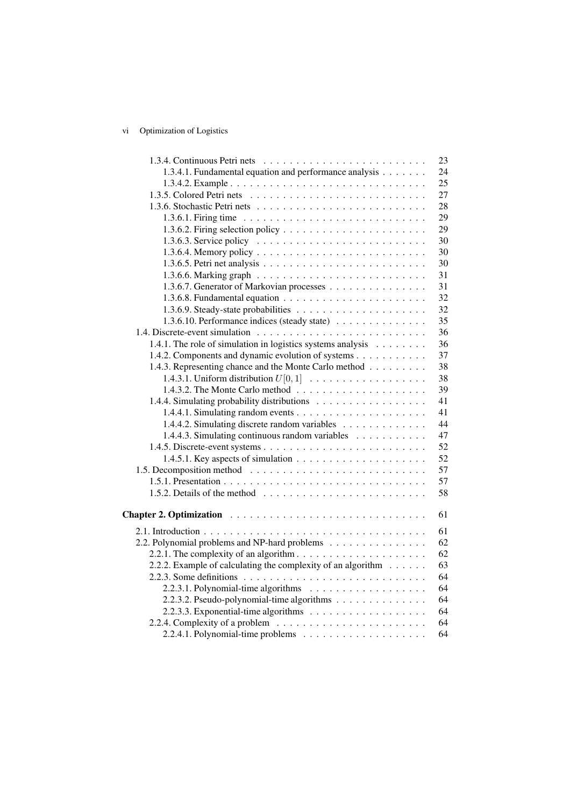## vi Optimization of Logistics

|                                                                                          | 23 |
|------------------------------------------------------------------------------------------|----|
| 1.3.4.1. Fundamental equation and performance analysis                                   | 24 |
|                                                                                          | 25 |
|                                                                                          | 27 |
|                                                                                          | 28 |
| 1.3.6.1. Firing time $\ldots \ldots \ldots \ldots \ldots \ldots \ldots \ldots \ldots$    | 29 |
|                                                                                          | 29 |
|                                                                                          | 30 |
|                                                                                          | 30 |
|                                                                                          | 30 |
|                                                                                          | 31 |
| 1.3.6.7. Generator of Markovian processes                                                | 31 |
|                                                                                          | 32 |
|                                                                                          | 32 |
| 1.3.6.10. Performance indices (steady state)                                             | 35 |
|                                                                                          | 36 |
| 1.4.1. The role of simulation in logistics systems analysis                              | 36 |
| 1.4.2. Components and dynamic evolution of systems                                       | 37 |
| 1.4.3. Representing chance and the Monte Carlo method                                    | 38 |
| 1.4.3.1. Uniform distribution $U[0,1]$                                                   | 38 |
|                                                                                          | 39 |
|                                                                                          | 41 |
|                                                                                          | 41 |
| 1.4.4.2. Simulating discrete random variables                                            | 44 |
| 1.4.4.3. Simulating continuous random variables                                          | 47 |
|                                                                                          | 52 |
| 1.4.5.1. Key aspects of simulation $\ldots \ldots \ldots \ldots \ldots \ldots$           | 52 |
|                                                                                          | 57 |
|                                                                                          | 57 |
|                                                                                          | 58 |
|                                                                                          |    |
|                                                                                          | 61 |
|                                                                                          | 61 |
| 2.2. Polynomial problems and NP-hard problems                                            | 62 |
|                                                                                          | 62 |
| 2.2.2. Example of calculating the complexity of an algorithm                             | 63 |
| 2.2.3. Some definitions $\ldots \ldots \ldots \ldots \ldots \ldots \ldots \ldots \ldots$ | 64 |
|                                                                                          | 64 |
| 2.2.3.2. Pseudo-polynomial-time algorithms                                               | 64 |
|                                                                                          | 64 |
| 2.2.4. Complexity of a problem $\dots \dots \dots \dots \dots \dots \dots \dots$         | 64 |
|                                                                                          | 64 |
|                                                                                          |    |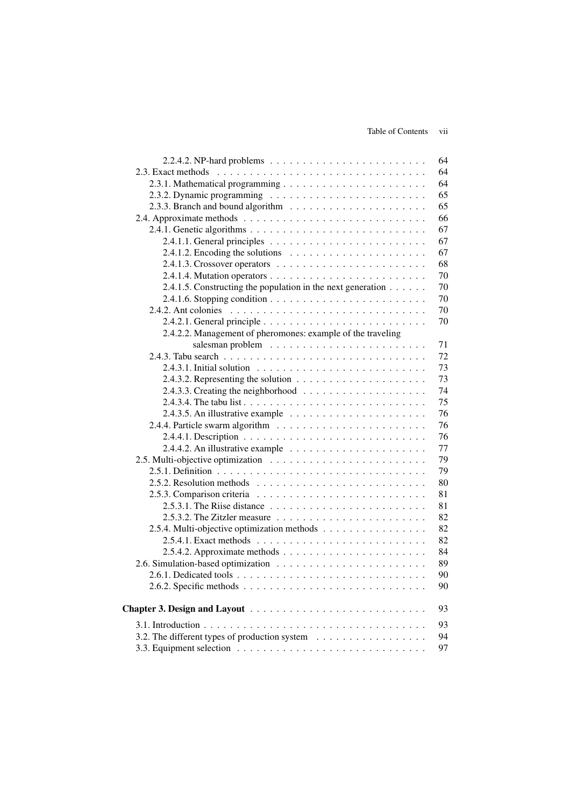|                                                                                       | 64 |
|---------------------------------------------------------------------------------------|----|
|                                                                                       | 64 |
|                                                                                       | 64 |
|                                                                                       | 65 |
|                                                                                       | 65 |
|                                                                                       | 66 |
|                                                                                       | 67 |
|                                                                                       | 67 |
| 2.4.1.2. Encoding the solutions $\ldots \ldots \ldots \ldots \ldots \ldots$           | 67 |
|                                                                                       | 68 |
|                                                                                       | 70 |
| 2.4.1.5. Constructing the population in the next generation                           | 70 |
| 2.4.1.6. Stopping condition $\ldots \ldots \ldots \ldots \ldots \ldots \ldots \ldots$ | 70 |
|                                                                                       | 70 |
|                                                                                       | 70 |
| 2.4.2.2. Management of pheromones: example of the traveling                           |    |
|                                                                                       | 71 |
|                                                                                       | 72 |
|                                                                                       | 73 |
| 2.4.3.2. Representing the solution $\ldots \ldots \ldots \ldots \ldots \ldots$        | 73 |
| 2.4.3.3. Creating the neighborhood $\ldots \ldots \ldots \ldots \ldots \ldots$        | 74 |
|                                                                                       | 75 |
|                                                                                       | 76 |
|                                                                                       | 76 |
|                                                                                       | 76 |
| 2.4.4.2. An illustrative example $\ldots \ldots \ldots \ldots \ldots \ldots$          | 77 |
|                                                                                       | 79 |
|                                                                                       | 79 |
|                                                                                       | 80 |
|                                                                                       | 81 |
|                                                                                       | 81 |
| 2.5.3.2. The Zitzler measure $\ldots \ldots \ldots \ldots \ldots \ldots \ldots$       | 82 |
| 2.5.4. Multi-objective optimization methods                                           | 82 |
|                                                                                       | 82 |
| 2.5.4.2. Approximate methods $\ldots \ldots \ldots \ldots \ldots \ldots \ldots$       | 84 |
|                                                                                       | 89 |
|                                                                                       | 90 |
|                                                                                       | 90 |
|                                                                                       |    |
| Chapter 3. Design and Layout                                                          | 93 |
|                                                                                       | 93 |
| 3.2. The different types of production system                                         | 94 |
|                                                                                       | 97 |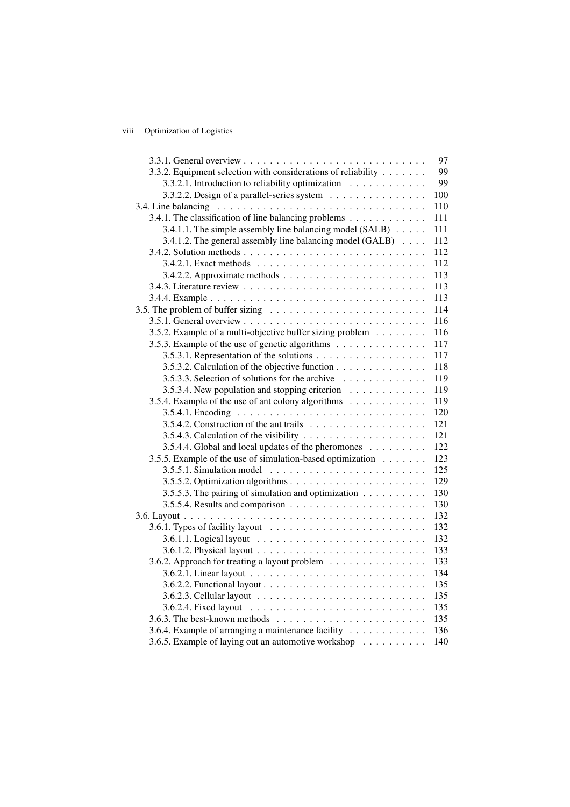## viii Optimization of Logistics

|                                                                                  | 97  |
|----------------------------------------------------------------------------------|-----|
| 3.3.2. Equipment selection with considerations of reliability                    | 99  |
| 3.3.2.1. Introduction to reliability optimization                                | 99  |
| 3.3.2.2. Design of a parallel-series system                                      | 100 |
|                                                                                  | 110 |
| 3.4.1. The classification of line balancing problems                             | 111 |
| 3.4.1.1. The simple assembly line balancing model (SALB)                         | 111 |
| 3.4.1.2. The general assembly line balancing model (GALB)                        | 112 |
|                                                                                  | 112 |
|                                                                                  | 112 |
|                                                                                  | 113 |
|                                                                                  | 113 |
|                                                                                  | 113 |
|                                                                                  | 114 |
|                                                                                  | 116 |
| 3.5.2. Example of a multi-objective buffer sizing problem                        | 116 |
| 3.5.3. Example of the use of genetic algorithms                                  | 117 |
| 3.5.3.1. Representation of the solutions                                         | 117 |
| 3.5.3.2. Calculation of the objective function                                   | 118 |
| 3.5.3.3. Selection of solutions for the archive                                  | 119 |
| 3.5.3.4. New population and stopping criterion                                   | 119 |
| 3.5.4. Example of the use of ant colony algorithms                               | 119 |
|                                                                                  | 120 |
|                                                                                  | 121 |
|                                                                                  | 121 |
| 3.5.4.4. Global and local updates of the pheromones                              | 122 |
| 3.5.5. Example of the use of simulation-based optimization                       | 123 |
|                                                                                  | 125 |
|                                                                                  | 129 |
| 3.5.5.3. The pairing of simulation and optimization                              | 130 |
|                                                                                  | 130 |
|                                                                                  | 132 |
|                                                                                  | 132 |
|                                                                                  | 132 |
|                                                                                  | 133 |
| 3.6.2. Approach for treating a layout problem                                    | 133 |
|                                                                                  | 134 |
|                                                                                  | 135 |
|                                                                                  | 135 |
|                                                                                  | 135 |
| 3.6.3. The best-known methods $\ldots \ldots \ldots \ldots \ldots \ldots \ldots$ | 135 |
| 3.6.4. Example of arranging a maintenance facility                               | 136 |
| 3.6.5. Example of laying out an automotive workshop                              | 140 |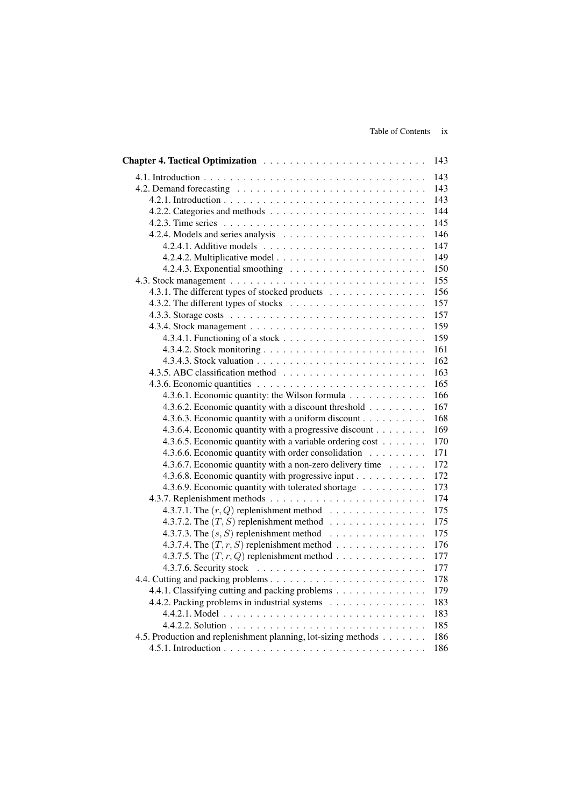|                                                                                 | 143 |
|---------------------------------------------------------------------------------|-----|
|                                                                                 | 143 |
|                                                                                 | 143 |
|                                                                                 | 143 |
|                                                                                 | 144 |
|                                                                                 | 145 |
|                                                                                 | 146 |
|                                                                                 | 147 |
|                                                                                 | 149 |
|                                                                                 | 150 |
|                                                                                 | 155 |
| 4.3.1. The different types of stocked products                                  | 156 |
|                                                                                 | 157 |
|                                                                                 | 157 |
|                                                                                 | 159 |
|                                                                                 | 159 |
|                                                                                 | 161 |
|                                                                                 | 162 |
|                                                                                 | 163 |
|                                                                                 | 165 |
| 4.3.6.1. Economic quantity: the Wilson formula                                  | 166 |
| 4.3.6.2. Economic quantity with a discount threshold                            | 167 |
| 4.3.6.3. Economic quantity with a uniform discount                              | 168 |
| 4.3.6.4. Economic quantity with a progressive discount                          | 169 |
| 4.3.6.5. Economic quantity with a variable ordering cost                        | 170 |
| 4.3.6.6. Economic quantity with order consolidation                             | 171 |
| 4.3.6.7. Economic quantity with a non-zero delivery time                        | 172 |
| 4.3.6.8. Economic quantity with progressive input                               | 172 |
| 4.3.6.9. Economic quantity with tolerated shortage                              | 173 |
|                                                                                 | 174 |
| 4.3.7.1. The $(r, Q)$ replenishment method $\ldots \ldots \ldots \ldots \ldots$ | 175 |
| 4.3.7.2. The $(T, S)$ replenishment method                                      | 175 |
| 4.3.7.3. The $(s, S)$ replenishment method $\ldots \ldots \ldots \ldots$        | 175 |
| 4.3.7.4. The $(T, r, S)$ replenishment method $\ldots \ldots \ldots \ldots$     | 176 |
| 4.3.7.5. The $(T, r, Q)$ replenishment method                                   | 177 |
|                                                                                 | 177 |
|                                                                                 | 178 |
| 4.4.1. Classifying cutting and packing problems                                 | 179 |
| 4.4.2. Packing problems in industrial systems                                   | 183 |
|                                                                                 | 183 |
|                                                                                 | 185 |
| 4.5. Production and replenishment planning, lot-sizing methods                  | 186 |
|                                                                                 | 186 |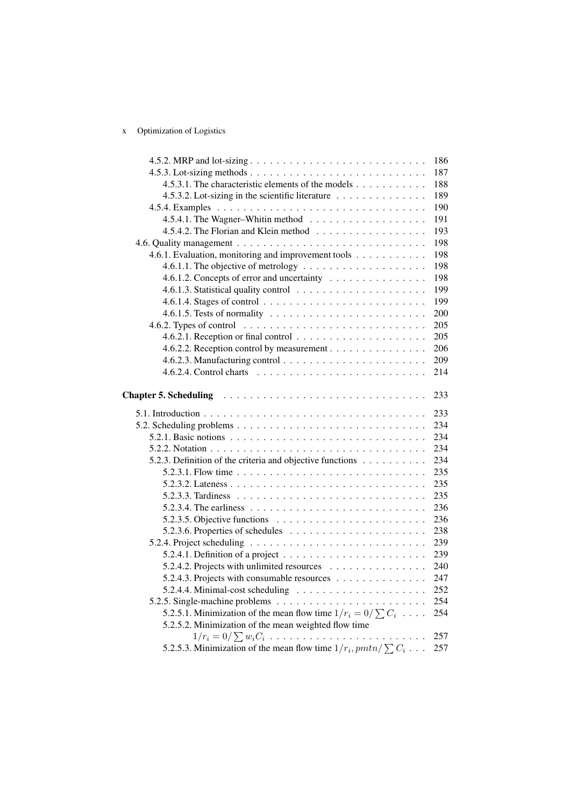## x Optimization of Logistics

|                                                                                                                                                                 | 186 |
|-----------------------------------------------------------------------------------------------------------------------------------------------------------------|-----|
|                                                                                                                                                                 | 187 |
| 4.5.3.1. The characteristic elements of the models                                                                                                              | 188 |
| 4.5.3.2. Lot-sizing in the scientific literature                                                                                                                | 189 |
|                                                                                                                                                                 | 190 |
|                                                                                                                                                                 | 191 |
| 4.5.4.2. The Florian and Klein method                                                                                                                           | 193 |
|                                                                                                                                                                 | 198 |
| 4.6.1. Evaluation, monitoring and improvement tools                                                                                                             | 198 |
| 4.6.1.1. The objective of metrology $\dots \dots \dots \dots \dots \dots \dots$                                                                                 | 198 |
| 4.6.1.2. Concepts of error and uncertainty                                                                                                                      | 198 |
|                                                                                                                                                                 | 199 |
|                                                                                                                                                                 | 199 |
| 4.6.1.5. Tests of normality $\ldots \ldots \ldots \ldots \ldots \ldots \ldots \ldots$                                                                           | 200 |
|                                                                                                                                                                 | 205 |
|                                                                                                                                                                 | 205 |
| 4.6.2.2. Reception control by measurement                                                                                                                       | 206 |
|                                                                                                                                                                 | 209 |
|                                                                                                                                                                 | 214 |
|                                                                                                                                                                 | 233 |
|                                                                                                                                                                 | 233 |
|                                                                                                                                                                 | 234 |
| 5.2.1. Basic notions $\ldots \ldots \ldots \ldots \ldots \ldots \ldots \ldots \ldots \ldots$                                                                    | 234 |
|                                                                                                                                                                 | 234 |
| 5.2.3. Definition of the criteria and objective functions                                                                                                       | 234 |
|                                                                                                                                                                 | 235 |
|                                                                                                                                                                 | 235 |
|                                                                                                                                                                 | 235 |
|                                                                                                                                                                 | 236 |
| 5.2.3.5. Objective functions $\ldots \ldots \ldots \ldots \ldots \ldots \ldots$                                                                                 | 236 |
|                                                                                                                                                                 | 238 |
|                                                                                                                                                                 | 239 |
| 5.2.4.1. Definition of a project $\ldots \ldots \ldots \ldots \ldots \ldots \ldots$                                                                             | 239 |
| 5.2.4.2. Projects with unlimited resources                                                                                                                      | 240 |
| 5.2.4.3. Projects with consumable resources                                                                                                                     | 247 |
|                                                                                                                                                                 | 252 |
|                                                                                                                                                                 |     |
|                                                                                                                                                                 | 254 |
| 5.2.5.1. Minimization of the mean flow time $1/r_i = 0/\sum C_i$                                                                                                | 254 |
| 5.2.5.2. Minimization of the mean weighted flow time                                                                                                            |     |
| $1/r_i = 0/\sum w_i C_i \ldots \ldots \ldots \ldots \ldots \ldots \ldots \ldots$<br>5.2.5.3. Minimization of the mean flow time $1/r_i, pmtn / \sum C_i \ldots$ | 257 |